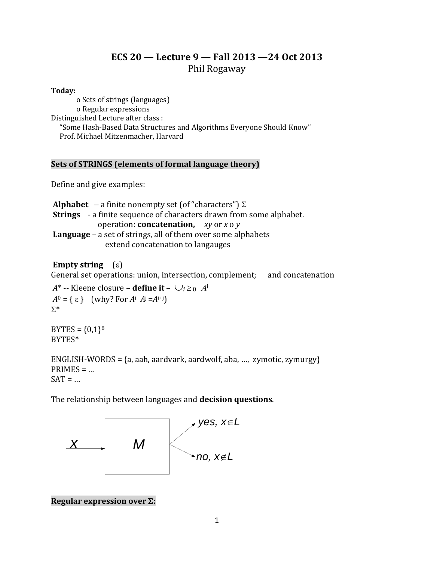# **ECS 20 — Lecture 9 — Fall 2013 —24 Oct 2013** Phil Rogaway

### **Today:**

o Sets of strings (languages) o Regular expressions Distinguished Lecture after class : "Some Hash-Based Data Structures and Algorithms Everyone Should Know" Prof. Michael Mitzenmacher, Harvard

### **Sets of STRINGS (elements of formal language theory)**

Define and give examples:

**Alphabet**  $-$  a finite nonempty set (of "characters")  $\Sigma$ **Strings** - a finite sequence of characters drawn from some alphabet. operation: **concatenation,** *xy* or *x* o *y* **Language** – a set of strings, all of them over some alphabets extend concatenation to langauges

## **Empty string**  $(\epsilon)$

General set operations: union, intersection, complement; and concatenation

*A*\* -- Kleene closure – **define it** –  $\bigcup_{i \geq 0} A^{i}$  $A^0 = \{ \varepsilon \}$  (why? For  $A^i$   $A^j = A^{i+j}$ )  $\Sigma^*$ 

 $BYTES = {0,1}^8$ BYTES\*

ENGLISH-WORDS =  $\{a, aah, aardvark, aardwolf, aba, ..., zymotic, zymurgy\}$  $PRIMES = ...$  $SAT = ...$ 

The relationship between languages and **decision questions**.



**Regular expression over :**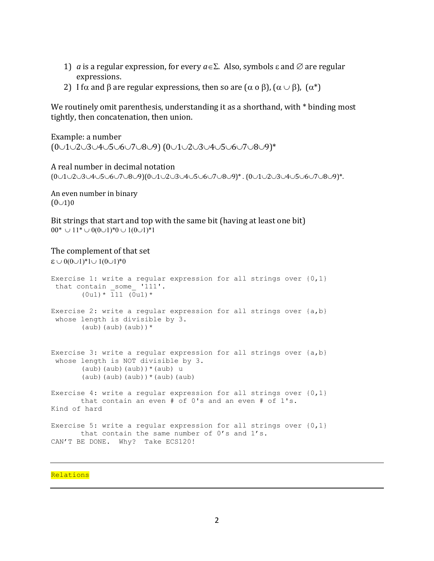- 1) *a* is a regular expression, for every  $a \in \Sigma$ . Also, symbols  $\varepsilon$  and  $\emptyset$  are regular expressions.
- 2) I f $\alpha$  and  $\beta$  are regular expressions, then so are  $(\alpha \circ \beta)$ ,  $(\alpha \cup \beta)$ ,  $(\alpha^*)$

We routinely omit parenthesis, understanding it as a shorthand, with  $*$  binding most tightly, then concatenation, then union.

Example: a number (0∪1∪2∪3∪4∪5∪6∪7∪8∪9) (0∪1∪2∪3∪4∪5∪6∪7∪8∪9)\*

#### A real number in decimal notation

 $(0\cup1\cup2\cup3\cup4\cup5\cup6\cup7\cup8\cup9)(0\cup1\cup2\cup3\cup4\cup5\cup6\cup7\cup8\cup9)*$ .  $(0\cup1\cup2\cup3\cup4\cup5\cup6\cup7\cup8\cup9)*$ .

An even number in binary  $(0 \cup 1)0$ 

Bit strings that start and top with the same bit (having at least one bit)  $00^* \cup 11^* \cup 0(0 \cup 1)^*0 \cup 1(0 \cup 1)^*1$ 

#### The complement of that set

```
\epsilon \cup 0(0\cup1)*1\cup 1(0\cup1)*0
Exercise 1: write a regular expression for all strings over \{0,1\}that contain some '111'.
       (0u1) * \overline{1}11 (\overline{0}u1) *Exercise 2: write a regular expression for all strings over {a,b}
 whose length is divisible by 3. 
       (aub) (aub) (* )Exercise 3: write a regular expression for all strings over {a,b}
whose length is NOT divisible by 3. 
       (aub)(aub)(aub))*(aub) u
       (aub)(aub)(aub))*(aub)(aub)Exercise 4: write a regular expression for all strings over \{0,1\} that contain an even # of 0's and an even # of 1's.
Kind of hard
Exercise 5: write a regular expression for all strings over \{0,1\} that contain the same number of 0's and 1's.
CAN'T BE DONE. Why? Take ECS120!
```
#### **Relations**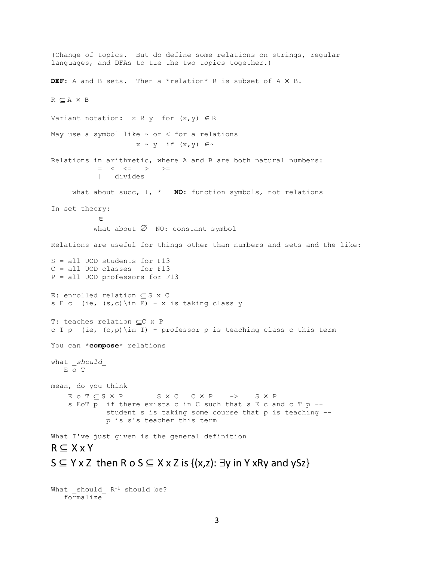(Change of topics. But do define some relations on strings, regular languages, and DFAs to tie the two topics together.) DEF: A and B sets. Then a \*relation\* R is subset of A  $\times$  B.  $R \subseteq A \times B$ Variant notation:  $x R y$  for  $(x, y) \in R$ May use a symbol like  $\sim$  or  $\lt$  for a relations  $x \sim y$  if  $(x, y) \in \sim$ Relations in arithmetic, where A and B are both natural numbers:  $\hspace{.6cm} = \hspace{.4cm} \hspace{.4cm} \hspace{.4cm} \hspace{.4cm} \hspace{.4cm} \hspace{.4cm} \hspace{.4cm} \hspace{.4cm} \hspace{.4cm} > \hspace{.4cm} \hspace{.4cm} > \hspace{.4cm} =$  | divides what about succ, +, \* **NO**: function symbols, not relations In set theory:  $\in$ what about  $\emptyset$  NO: constant symbol Relations are useful for things other than numbers and sets and the like: S = all UCD students for F13 C = all UCD classes for F13 P = all UCD professors for F13 E: enrolled relation  $\subseteq$  S x C s E c (ie,  $(s, c)$  \in E) - x is taking class y T: teaches relation CC x P c T p (ie,  $(c, p)$ ) in T) - professor p is teaching class c this term You can \***compose**\* relations what \_*should*\_ E o T mean, do you think E O T C S X P S X C C X P -> S X P s EoT p if there exists c in C such that s E c and c T p - student s is taking some course that p is teaching - p is s's teacher this term What I've just given is the general definition  $R \subseteq X \times Y$  $S \subseteq Y \times Z$  then R o S  $\subseteq X \times Z$  is  $\{(x,z): \exists y \text{ in } Y \times Ry \text{ and } ySz\}$ 

What should  $R^{-1}$  should be? formalize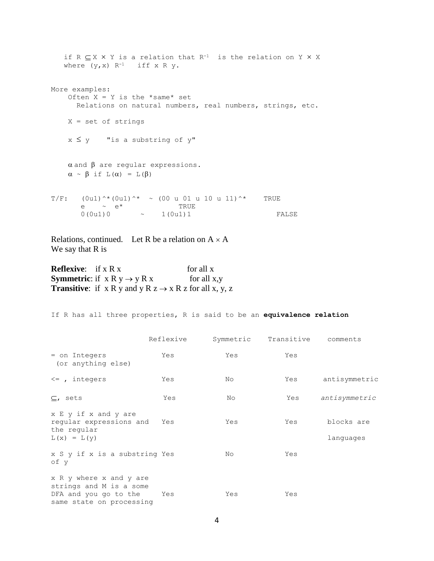```
if R \subseteq X \times Y is a relation that R^{-1} is the relation on Y \times Xwhere (y, x) R<sup>-1</sup> iff x R y.
More examples:
   Often X = Y is the *same* set
       Relations on natural numbers, real numbers, strings, etc.
     X = set of strings 
    x \leq y "is a substring of y"
    \alpha and \beta are regular expressions.
    \alpha \sim \beta if L(\alpha) = L(\beta)T/F: (0u1)^*(0u1)^* ~ (00 u 01 u 10 u 11)^* TRUE
       e \sim e<sup>*</sup> TRUE
       0(0u1)0 ~ 1(0u1)1 FALSE
```
Relations, continued. Let R be a relation on  $A \times A$ We say that R is

**Reflexive:** if x R x for all x **Symmetric:** if  $x R y \rightarrow y R x$  for all x,y **Transitive:** if  $x R y$  and  $y R z \rightarrow x R z$  for all  $x, y, z$ 

If R has all three properties, R is said to be an **equivalence relation**

|                                                                                                         | Reflexive | Symmetric | Transitive | comments                |
|---------------------------------------------------------------------------------------------------------|-----------|-----------|------------|-------------------------|
| = on Integers<br>(or anything else)                                                                     | Yes       | Yes       | Yes        |                         |
| $\leq$ , integers                                                                                       | Yes       | No        | Yes        | antisymmetric           |
| $\subseteq$ , sets                                                                                      | Yes       | No        | Yes        | antisymmetric           |
| x E y if x and y are<br>reqular expressions and<br>the regular<br>$L(x) = L(y)$                         | Yes       | Yes       | Yes        | blocks are<br>languages |
| x S y if x is a substring Yes<br>of y                                                                   |           | No.       | Yes        |                         |
| x R y where x and y are<br>strings and M is a some<br>DFA and you go to the<br>same state on processing | Yes       | Yes       | Yes        |                         |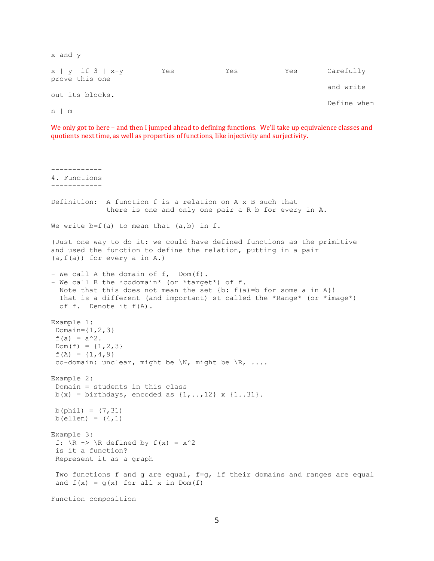| x and y                                      |     |     |     |             |
|----------------------------------------------|-----|-----|-----|-------------|
| $x \mid y$ if $3 \mid x-y$<br>prove this one | Yes | Yes | Yes | Carefully   |
|                                              |     |     |     | and write   |
| out its blocks.                              |     |     |     | Define when |
| $n \mid m$                                   |     |     |     |             |

We only got to here - and then I jumped ahead to defining functions. We'll take up equivalence classes and quotients next time, as well as properties of functions, like injectivity and surjectivity.

```
------------
4. Functions 
------------
Definition: A function f is a relation on A x B such that
              there is one and only one pair a R b for every in A.
We write b=f(a) to mean that (a,b) in f.
(Just one way to do it: we could have defined functions as the primitive
and used the function to define the relation, putting in a pair
(a,f(a)) for every a in A.)
- We call A the domain of f, Dom(f).
- We call B the *codomain* (or *target*) of f.
  Note that this does not mean the set \{b: f(a)=b \text{ for some } a \text{ in } A\}!That is a different (and important) st called the *Range* (or *image*)
   of f. Denote it f(A).
Example 1:
 Domain=\{1, 2, 3\}f(a) = a^2.
Dom(f) = {1, 2, 3}f(A) = \{1, 4, 9\}co-domain: unclear, might be \backslash N, might be \backslash R, ....
Example 2:
 Domain = students in this class
b(x) = \text{birthdays}, encoded as \{1, ..., 12\} x \{1..31\}.
b(phil) = (7, 31)b(ellen) = (4, 1)Example 3:
f: \R -> \R defined by f(x) = x^2is it a function?
 Represent it as a graph
 Two functions f and g are equal, f=g, if their domains and ranges are equal
 and f(x) = g(x) for all x in Dom(f)
Function composition
```